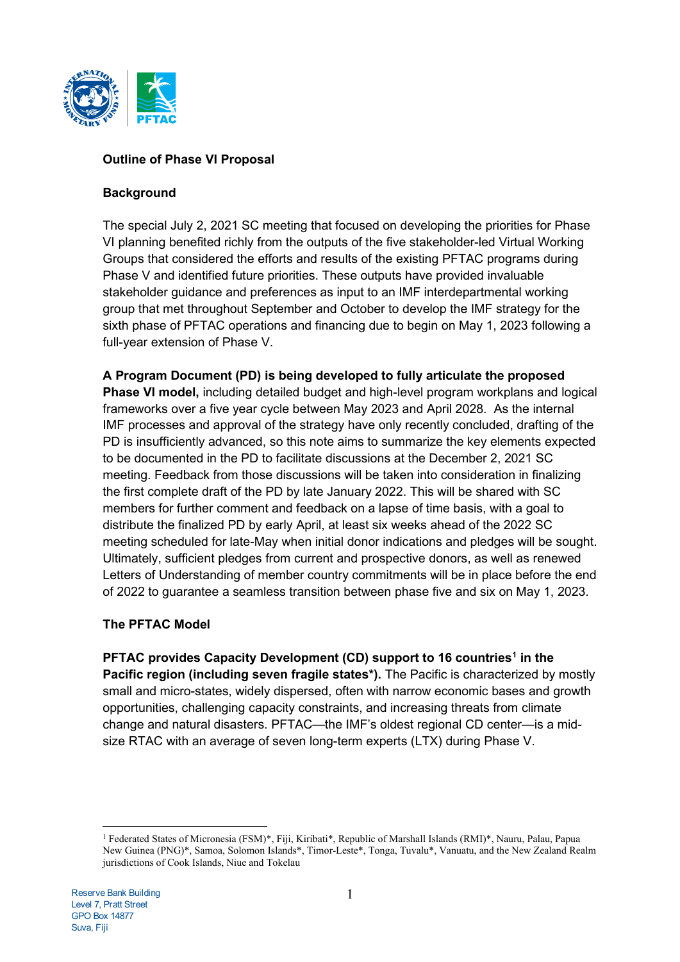

# **Outline of Phase VI Proposal**

## **Background**

The special July 2, 2021 SC meeting that focused on developing the priorities for Phase VI planning benefited richly from the outputs of the five stakeholder-led Virtual Working Groups that considered the efforts and results of the existing PFTAC programs during Phase V and identified future priorities. These outputs have provided invaluable stakeholder guidance and preferences as input to an IMF interdepartmental working group that met throughout September and October to develop the IMF strategy for the sixth phase of PFTAC operations and financing due to begin on May 1, 2023 following a full-year extension of Phase V.

**A Program Document (PD) is being developed to fully articulate the proposed Phase VI model,** including detailed budget and high-level program workplans and logical frameworks over a five year cycle between May 2023 and April 2028. As the internal IMF processes and approval of the strategy have only recently concluded, drafting of the PD is insufficiently advanced, so this note aims to summarize the key elements expected to be documented in the PD to facilitate discussions at the December 2, 2021 SC meeting. Feedback from those discussions will be taken into consideration in finalizing the first complete draft of the PD by late January 2022. This will be shared with SC members for further comment and feedback on a lapse of time basis, with a goal to distribute the finalized PD by early April, at least six weeks ahead of the 2022 SC meeting scheduled for late-May when initial donor indications and pledges will be sought. Ultimately, sufficient pledges from current and prospective donors, as well as renewed Letters of Understanding of member country commitments will be in place before the end of 2022 to guarantee a seamless transition between phase five and six on May 1, 2023.

# **The PFTAC Model**

**PFTAC provides Capacity Development (CD) support to 16 countries[1](#page-0-0) in the Pacific region (including seven fragile states<sup>\*</sup>). The Pacific is characterized by mostly** small and micro-states, widely dispersed, often with narrow economic bases and growth opportunities, challenging capacity constraints, and increasing threats from climate change and natural disasters. PFTAC—the IMF's oldest regional CD center—is a midsize RTAC with an average of seven long-term experts (LTX) during Phase V.

<span id="page-0-0"></span><sup>1</sup> Federated States of Micronesia (FSM)\*, Fiji, Kiribati\*, Republic of Marshall Islands (RMI)\*, Nauru, Palau, Papua New Guinea (PNG)\*, Samoa, Solomon Islands\*, Timor-Leste\*, Tonga, Tuvalu\*, Vanuatu, and the New Zealand Realm jurisdictions of Cook Islands, Niue and Tokelau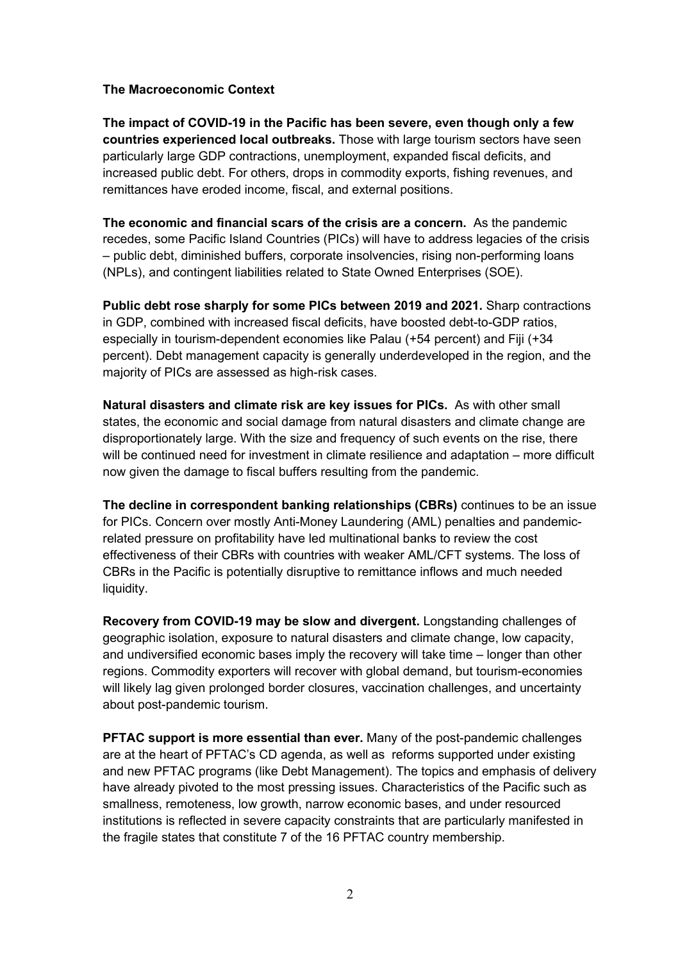### **The Macroeconomic Context**

**The impact of COVID-19 in the Pacific has been severe, even though only a few countries experienced local outbreaks.** Those with large tourism sectors have seen particularly large GDP contractions, unemployment, expanded fiscal deficits, and increased public debt. For others, drops in commodity exports, fishing revenues, and remittances have eroded income, fiscal, and external positions.

**The economic and financial scars of the crisis are a concern.** As the pandemic recedes, some Pacific Island Countries (PICs) will have to address legacies of the crisis – public debt, diminished buffers, corporate insolvencies, rising non-performing loans (NPLs), and contingent liabilities related to State Owned Enterprises (SOE).

**Public debt rose sharply for some PICs between 2019 and 2021.** Sharp contractions in GDP, combined with increased fiscal deficits, have boosted debt-to-GDP ratios, especially in tourism-dependent economies like Palau (+54 percent) and Fiji (+34 percent). Debt management capacity is generally underdeveloped in the region, and the majority of PICs are assessed as high-risk cases.

**Natural disasters and climate risk are key issues for PICs.** As with other small states, the economic and social damage from natural disasters and climate change are disproportionately large. With the size and frequency of such events on the rise, there will be continued need for investment in climate resilience and adaptation – more difficult now given the damage to fiscal buffers resulting from the pandemic.

**The decline in correspondent banking relationships (CBRs)** continues to be an issue for PICs. Concern over mostly Anti-Money Laundering (AML) penalties and pandemicrelated pressure on profitability have led multinational banks to review the cost effectiveness of their CBRs with countries with weaker AML/CFT systems. The loss of CBRs in the Pacific is potentially disruptive to remittance inflows and much needed liquidity.

**Recovery from COVID-19 may be slow and divergent.** Longstanding challenges of geographic isolation, exposure to natural disasters and climate change, low capacity, and undiversified economic bases imply the recovery will take time – longer than other regions. Commodity exporters will recover with global demand, but tourism-economies will likely lag given prolonged border closures, vaccination challenges, and uncertainty about post-pandemic tourism.

**PFTAC support is more essential than ever.** Many of the post-pandemic challenges are at the heart of PFTAC's CD agenda, as well as reforms supported under existing and new PFTAC programs (like Debt Management). The topics and emphasis of delivery have already pivoted to the most pressing issues. Characteristics of the Pacific such as smallness, remoteness, low growth, narrow economic bases, and under resourced institutions is reflected in severe capacity constraints that are particularly manifested in the fragile states that constitute 7 of the 16 PFTAC country membership.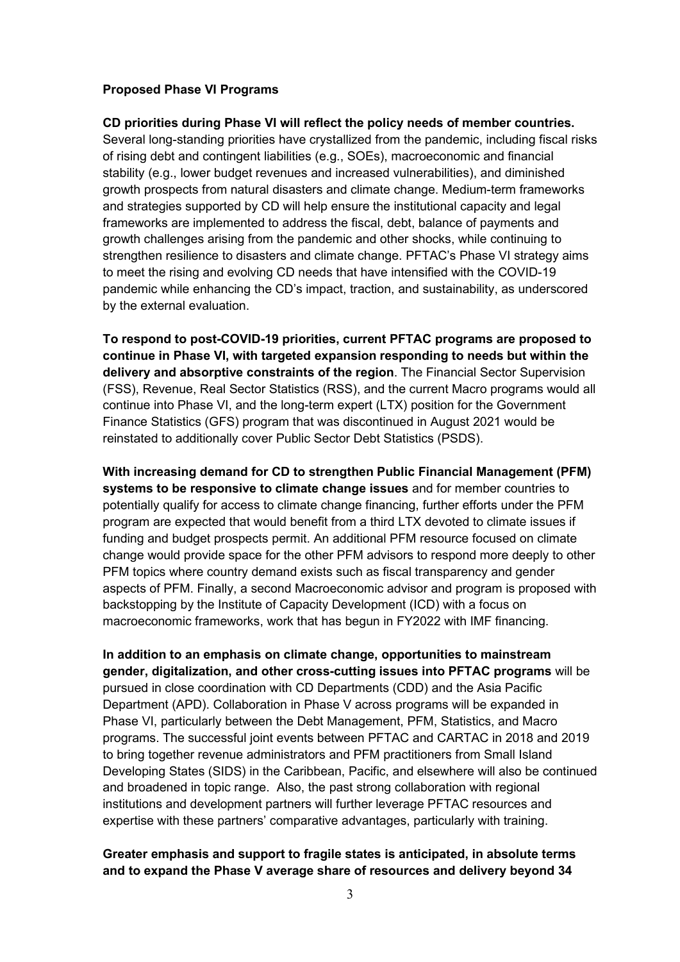#### **Proposed Phase VI Programs**

**CD priorities during Phase VI will reflect the policy needs of member countries.** Several long-standing priorities have crystallized from the pandemic, including fiscal risks of rising debt and contingent liabilities (e.g., SOEs), macroeconomic and financial stability (e.g., lower budget revenues and increased vulnerabilities), and diminished growth prospects from natural disasters and climate change. Medium-term frameworks and strategies supported by CD will help ensure the institutional capacity and legal frameworks are implemented to address the fiscal, debt, balance of payments and growth challenges arising from the pandemic and other shocks, while continuing to strengthen resilience to disasters and climate change. PFTAC's Phase VI strategy aims to meet the rising and evolving CD needs that have intensified with the COVID-19 pandemic while enhancing the CD's impact, traction, and sustainability, as underscored by the external evaluation.

**To respond to post-COVID-19 priorities, current PFTAC programs are proposed to continue in Phase VI, with targeted expansion responding to needs but within the delivery and absorptive constraints of the region**. The Financial Sector Supervision (FSS), Revenue, Real Sector Statistics (RSS), and the current Macro programs would all continue into Phase VI, and the long-term expert (LTX) position for the Government Finance Statistics (GFS) program that was discontinued in August 2021 would be reinstated to additionally cover Public Sector Debt Statistics (PSDS).

**With increasing demand for CD to strengthen Public Financial Management (PFM) systems to be responsive to climate change issues** and for member countries to potentially qualify for access to climate change financing, further efforts under the PFM program are expected that would benefit from a third LTX devoted to climate issues if funding and budget prospects permit. An additional PFM resource focused on climate change would provide space for the other PFM advisors to respond more deeply to other PFM topics where country demand exists such as fiscal transparency and gender aspects of PFM. Finally, a second Macroeconomic advisor and program is proposed with backstopping by the Institute of Capacity Development (ICD) with a focus on macroeconomic frameworks, work that has begun in FY2022 with IMF financing.

**In addition to an emphasis on climate change, opportunities to mainstream gender, digitalization, and other cross-cutting issues into PFTAC programs** will be pursued in close coordination with CD Departments (CDD) and the Asia Pacific Department (APD). Collaboration in Phase V across programs will be expanded in Phase VI, particularly between the Debt Management, PFM, Statistics, and Macro programs. The successful joint events between PFTAC and CARTAC in 2018 and 2019 to bring together revenue administrators and PFM practitioners from Small Island Developing States (SIDS) in the Caribbean, Pacific, and elsewhere will also be continued and broadened in topic range. Also, the past strong collaboration with regional institutions and development partners will further leverage PFTAC resources and expertise with these partners' comparative advantages, particularly with training.

### **Greater emphasis and support to fragile states is anticipated, in absolute terms and to expand the Phase V average share of resources and delivery beyond 34**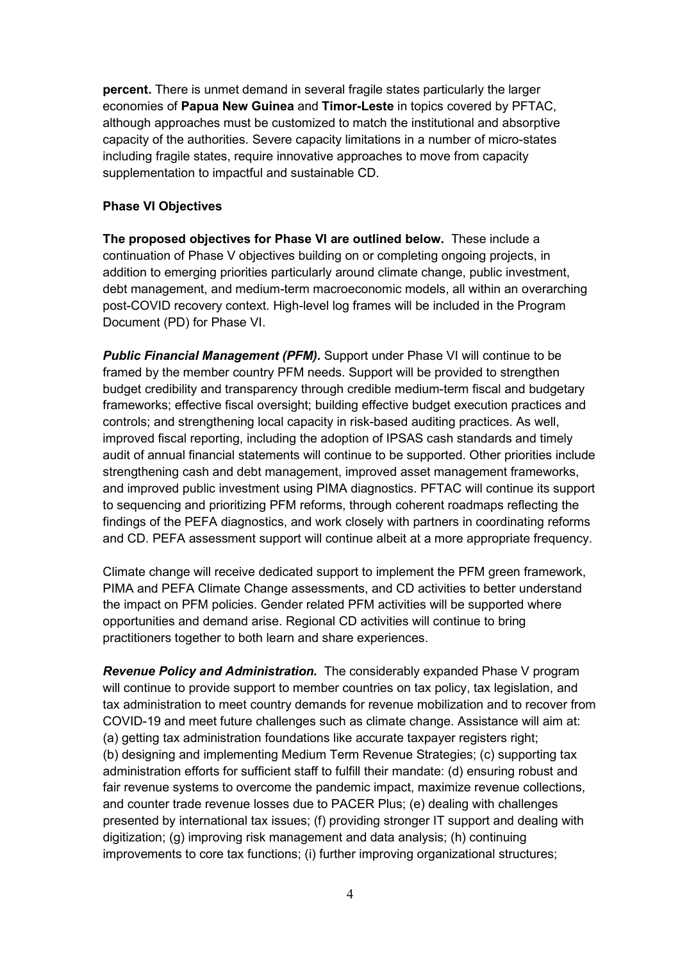**percent.** There is unmet demand in several fragile states particularly the larger economies of **Papua New Guinea** and **Timor-Leste** in topics covered by PFTAC, although approaches must be customized to match the institutional and absorptive capacity of the authorities. Severe capacity limitations in a number of micro-states including fragile states, require innovative approaches to move from capacity supplementation to impactful and sustainable CD.

### **Phase VI Objectives**

**The proposed objectives for Phase VI are outlined below.** These include a continuation of Phase V objectives building on or completing ongoing projects, in addition to emerging priorities particularly around climate change, public investment, debt management, and medium-term macroeconomic models, all within an overarching post-COVID recovery context. High-level log frames will be included in the Program Document (PD) for Phase VI.

**Public Financial Management (PFM).** Support under Phase VI will continue to be framed by the member country PFM needs. Support will be provided to strengthen budget credibility and transparency through credible medium-term fiscal and budgetary frameworks; effective fiscal oversight; building effective budget execution practices and controls; and strengthening local capacity in risk-based auditing practices. As well, improved fiscal reporting, including the adoption of IPSAS cash standards and timely audit of annual financial statements will continue to be supported. Other priorities include strengthening cash and debt management, improved asset management frameworks, and improved public investment using PIMA diagnostics. PFTAC will continue its support to sequencing and prioritizing PFM reforms, through coherent roadmaps reflecting the findings of the PEFA diagnostics, and work closely with partners in coordinating reforms and CD. PEFA assessment support will continue albeit at a more appropriate frequency.

Climate change will receive dedicated support to implement the PFM green framework, PIMA and PEFA Climate Change assessments, and CD activities to better understand the impact on PFM policies. Gender related PFM activities will be supported where opportunities and demand arise. Regional CD activities will continue to bring practitioners together to both learn and share experiences.

*Revenue Policy and Administration.* The considerably expanded Phase V program will continue to provide support to member countries on tax policy, tax legislation, and tax administration to meet country demands for revenue mobilization and to recover from COVID-19 and meet future challenges such as climate change. Assistance will aim at: (a) getting tax administration foundations like accurate taxpayer registers right; (b) designing and implementing Medium Term Revenue Strategies; (c) supporting tax administration efforts for sufficient staff to fulfill their mandate: (d) ensuring robust and fair revenue systems to overcome the pandemic impact, maximize revenue collections, and counter trade revenue losses due to PACER Plus; (e) dealing with challenges presented by international tax issues; (f) providing stronger IT support and dealing with digitization; (g) improving risk management and data analysis; (h) continuing improvements to core tax functions; (i) further improving organizational structures;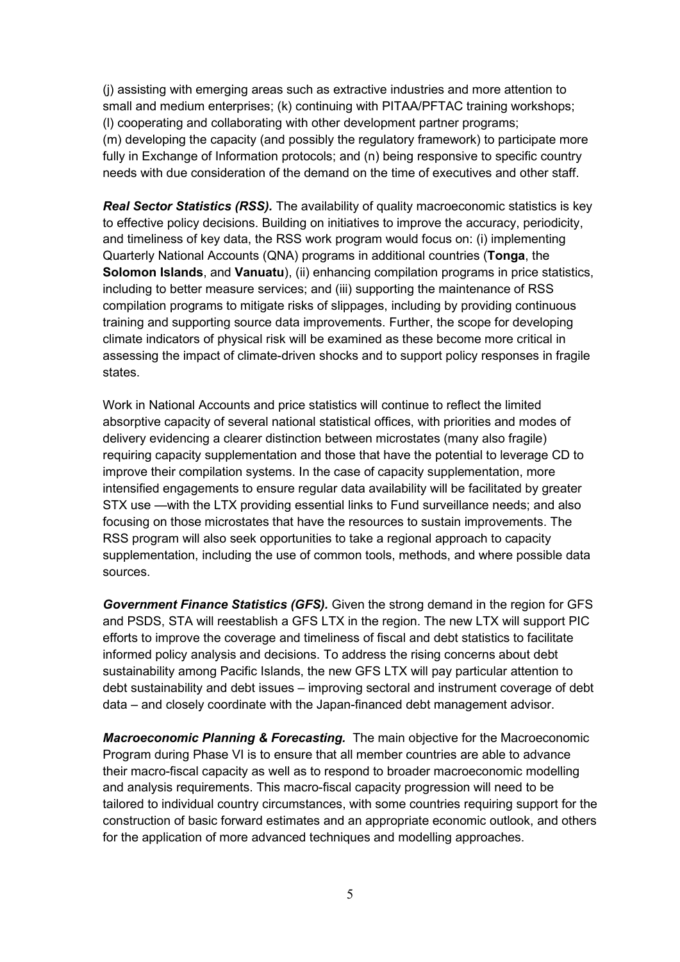(j) assisting with emerging areas such as extractive industries and more attention to small and medium enterprises; (k) continuing with PITAA/PFTAC training workshops; (l) cooperating and collaborating with other development partner programs; (m) developing the capacity (and possibly the regulatory framework) to participate more fully in Exchange of Information protocols; and (n) being responsive to specific country needs with due consideration of the demand on the time of executives and other staff.

*Real Sector Statistics (RSS).* The availability of quality macroeconomic statistics is key to effective policy decisions. Building on initiatives to improve the accuracy, periodicity, and timeliness of key data, the RSS work program would focus on: (i) implementing Quarterly National Accounts (QNA) programs in additional countries (**Tonga**, the **Solomon Islands**, and **Vanuatu**), (ii) enhancing compilation programs in price statistics, including to better measure services; and (iii) supporting the maintenance of RSS compilation programs to mitigate risks of slippages, including by providing continuous training and supporting source data improvements. Further, the scope for developing climate indicators of physical risk will be examined as these become more critical in assessing the impact of climate-driven shocks and to support policy responses in fragile states.

Work in National Accounts and price statistics will continue to reflect the limited absorptive capacity of several national statistical offices, with priorities and modes of delivery evidencing a clearer distinction between microstates (many also fragile) requiring capacity supplementation and those that have the potential to leverage CD to improve their compilation systems. In the case of capacity supplementation, more intensified engagements to ensure regular data availability will be facilitated by greater STX use —with the LTX providing essential links to Fund surveillance needs; and also focusing on those microstates that have the resources to sustain improvements. The RSS program will also seek opportunities to take a regional approach to capacity supplementation, including the use of common tools, methods, and where possible data sources.

*Government Finance Statistics (GFS).* Given the strong demand in the region for GFS and PSDS, STA will reestablish a GFS LTX in the region. The new LTX will support PIC efforts to improve the coverage and timeliness of fiscal and debt statistics to facilitate informed policy analysis and decisions. To address the rising concerns about debt sustainability among Pacific Islands, the new GFS LTX will pay particular attention to debt sustainability and debt issues – improving sectoral and instrument coverage of debt data – and closely coordinate with the Japan-financed debt management advisor.

*Macroeconomic Planning & Forecasting.* The main objective for the Macroeconomic Program during Phase VI is to ensure that all member countries are able to advance their macro-fiscal capacity as well as to respond to broader macroeconomic modelling and analysis requirements. This macro-fiscal capacity progression will need to be tailored to individual country circumstances, with some countries requiring support for the construction of basic forward estimates and an appropriate economic outlook, and others for the application of more advanced techniques and modelling approaches.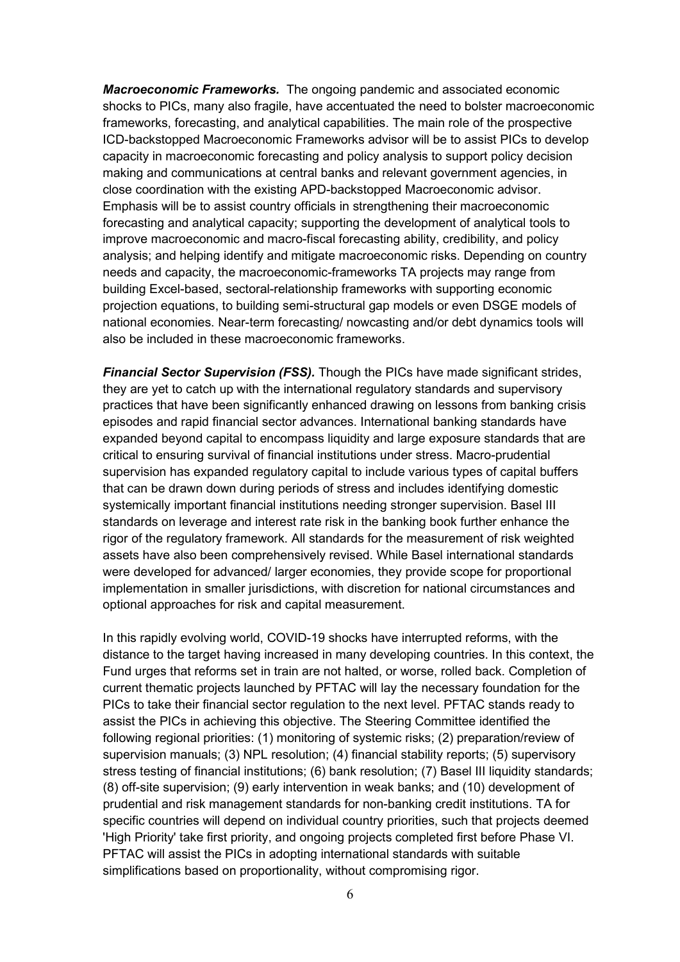*Macroeconomic Frameworks.* The ongoing pandemic and associated economic shocks to PICs, many also fragile, have accentuated the need to bolster macroeconomic frameworks, forecasting, and analytical capabilities. The main role of the prospective ICD-backstopped Macroeconomic Frameworks advisor will be to assist PICs to develop capacity in macroeconomic forecasting and policy analysis to support policy decision making and communications at central banks and relevant government agencies, in close coordination with the existing APD-backstopped Macroeconomic advisor. Emphasis will be to assist country officials in strengthening their macroeconomic forecasting and analytical capacity; supporting the development of analytical tools to improve macroeconomic and macro-fiscal forecasting ability, credibility, and policy analysis; and helping identify and mitigate macroeconomic risks. Depending on country needs and capacity, the macroeconomic-frameworks TA projects may range from building Excel-based, sectoral-relationship frameworks with supporting economic projection equations, to building semi-structural gap models or even DSGE models of national economies. Near-term forecasting/ nowcasting and/or debt dynamics tools will also be included in these macroeconomic frameworks.

*Financial Sector Supervision (FSS).* Though the PICs have made significant strides, they are yet to catch up with the international regulatory standards and supervisory practices that have been significantly enhanced drawing on lessons from banking crisis episodes and rapid financial sector advances. International banking standards have expanded beyond capital to encompass liquidity and large exposure standards that are critical to ensuring survival of financial institutions under stress. Macro-prudential supervision has expanded regulatory capital to include various types of capital buffers that can be drawn down during periods of stress and includes identifying domestic systemically important financial institutions needing stronger supervision. Basel III standards on leverage and interest rate risk in the banking book further enhance the rigor of the regulatory framework. All standards for the measurement of risk weighted assets have also been comprehensively revised. While Basel international standards were developed for advanced/ larger economies, they provide scope for proportional implementation in smaller jurisdictions, with discretion for national circumstances and optional approaches for risk and capital measurement.

In this rapidly evolving world, COVID-19 shocks have interrupted reforms, with the distance to the target having increased in many developing countries. In this context, the Fund urges that reforms set in train are not halted, or worse, rolled back. Completion of current thematic projects launched by PFTAC will lay the necessary foundation for the PICs to take their financial sector regulation to the next level. PFTAC stands ready to assist the PICs in achieving this objective. The Steering Committee identified the following regional priorities: (1) monitoring of systemic risks; (2) preparation/review of supervision manuals; (3) NPL resolution; (4) financial stability reports; (5) supervisory stress testing of financial institutions; (6) bank resolution; (7) Basel III liquidity standards; (8) off-site supervision; (9) early intervention in weak banks; and (10) development of prudential and risk management standards for non-banking credit institutions. TA for specific countries will depend on individual country priorities, such that projects deemed 'High Priority' take first priority, and ongoing projects completed first before Phase VI. PFTAC will assist the PICs in adopting international standards with suitable simplifications based on proportionality, without compromising rigor.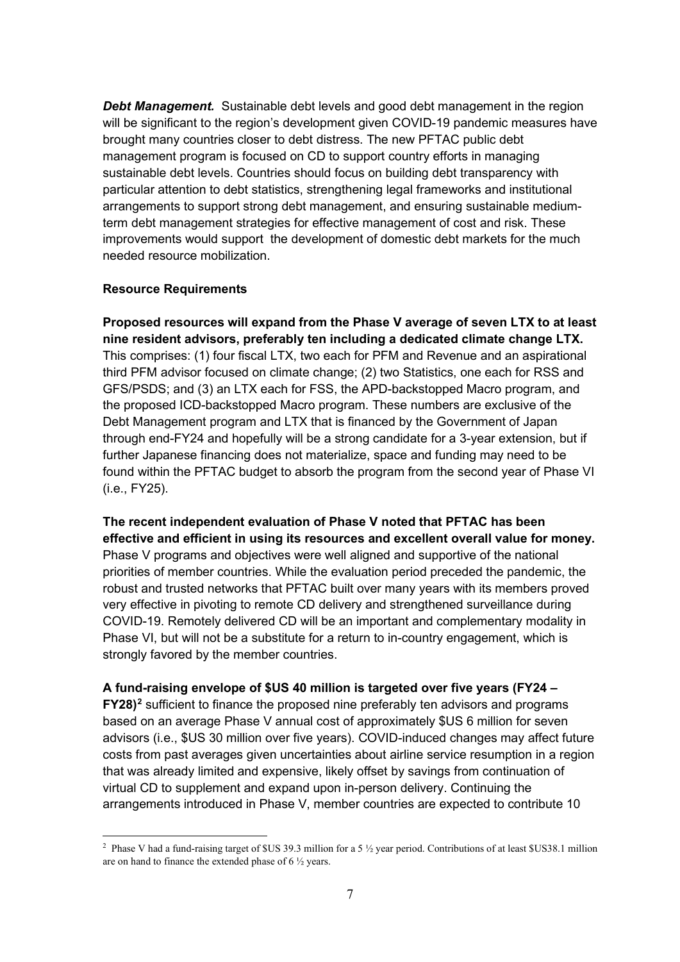**Debt Management.** Sustainable debt levels and good debt management in the region will be significant to the region's development given COVID-19 pandemic measures have brought many countries closer to debt distress. The new PFTAC public debt management program is focused on CD to support country efforts in managing sustainable debt levels. Countries should focus on building debt transparency with particular attention to debt statistics, strengthening legal frameworks and institutional arrangements to support strong debt management, and ensuring sustainable mediumterm debt management strategies for effective management of cost and risk. These improvements would support the development of domestic debt markets for the much needed resource mobilization.

### **Resource Requirements**

**Proposed resources will expand from the Phase V average of seven LTX to at least nine resident advisors, preferably ten including a dedicated climate change LTX.** This comprises: (1) four fiscal LTX, two each for PFM and Revenue and an aspirational third PFM advisor focused on climate change; (2) two Statistics, one each for RSS and GFS/PSDS; and (3) an LTX each for FSS, the APD-backstopped Macro program, and the proposed ICD-backstopped Macro program. These numbers are exclusive of the Debt Management program and LTX that is financed by the Government of Japan through end-FY24 and hopefully will be a strong candidate for a 3-year extension, but if further Japanese financing does not materialize, space and funding may need to be found within the PFTAC budget to absorb the program from the second year of Phase VI (i.e., FY25).

**The recent independent evaluation of Phase V noted that PFTAC has been effective and efficient in using its resources and excellent overall value for money.** Phase V programs and objectives were well aligned and supportive of the national priorities of member countries. While the evaluation period preceded the pandemic, the robust and trusted networks that PFTAC built over many years with its members proved very effective in pivoting to remote CD delivery and strengthened surveillance during COVID-19. Remotely delivered CD will be an important and complementary modality in Phase VI, but will not be a substitute for a return to in-country engagement, which is strongly favored by the member countries.

### **A fund-raising envelope of \$US 40 million is targeted over five years (FY24 –**

**FY28)[2](#page-6-0)** sufficient to finance the proposed nine preferably ten advisors and programs based on an average Phase V annual cost of approximately \$US 6 million for seven advisors (i.e., \$US 30 million over five years). COVID-induced changes may affect future costs from past averages given uncertainties about airline service resumption in a region that was already limited and expensive, likely offset by savings from continuation of virtual CD to supplement and expand upon in-person delivery. Continuing the arrangements introduced in Phase V, member countries are expected to contribute 10

<span id="page-6-0"></span><sup>&</sup>lt;sup>2</sup> Phase V had a fund-raising target of \$US 39.3 million for a 5 <sup>1/2</sup> year period. Contributions of at least \$US38.1 million are on hand to finance the extended phase of 6 ½ years.